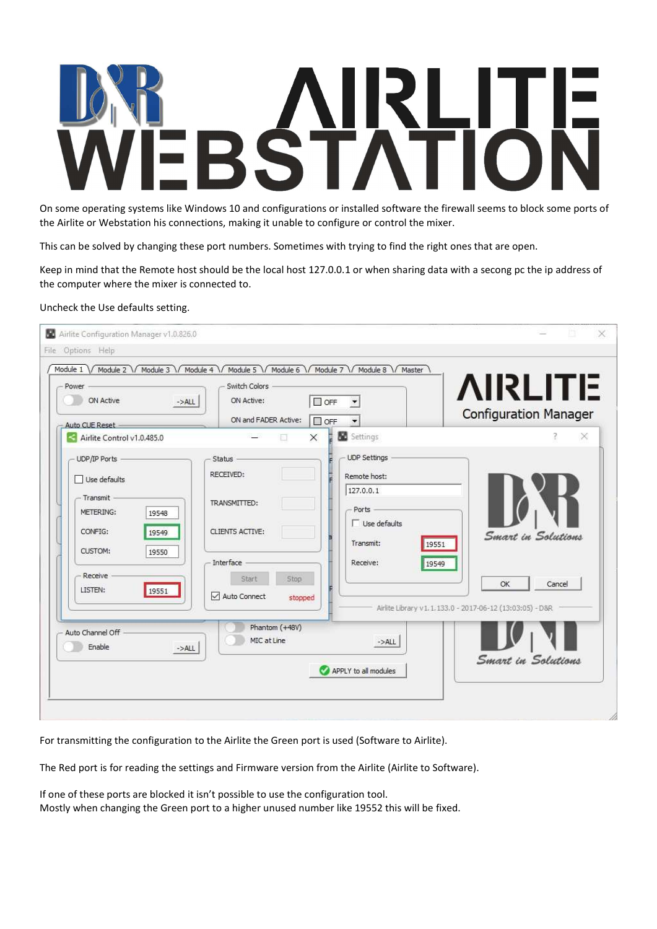On some operating systems like Windows 10 and configurations or installed software the firewall seems to block some ports of the Airlite or Webstation his connections, making it unable to configure or control the mixer.

This can be solved by changing these port numbers. Sometimes with trying to find the right ones that are open.

Keep in mind that the Remote host should be the local host 127.0.0.1 or when sharing data with a secong pc the ip address of the computer where the mixer is connected to.

## Uncheck the Use defaults setting.

| Power<br>ON Active<br>$->ALL$<br>Auto CUE Reset -                                                                                     | Switch Colors<br>$\Box$ OFF<br>ON Active:<br>ON and FADER Active:<br>$\Box$ OFF                                                                                                                                              | <b>AIRLITE</b><br><b>Configuration Manager</b>                                                                   |
|---------------------------------------------------------------------------------------------------------------------------------------|------------------------------------------------------------------------------------------------------------------------------------------------------------------------------------------------------------------------------|------------------------------------------------------------------------------------------------------------------|
| Airlite Control v1.0.485.0                                                                                                            | <b>SC</b> Settings<br>$\times$                                                                                                                                                                                               | $\times$                                                                                                         |
| UDP/IP Ports<br>Use defaults<br>Transmit<br>METERING:<br>19548<br>CONFIG:<br>19549<br>CUSTOM:<br>19550<br>Receive<br>LISTEN:<br>19551 | UDP Settings<br><b>Status</b><br>RECEIVED:<br>Remote host:<br>127.0.0.1<br>TRANSMITTED:<br>Ports<br>$\Box$ Use defaults<br>CLIENTS ACTIVE:<br>Transmit:<br>Interface<br>Receive:<br>Start<br>Stop<br>Auto Connect<br>stopped | Smart in Solutions<br>19551<br>19549<br>OK<br>Cancel<br>Airlite Library v1.1.133.0 - 2017-06-12 (13:03:05) - D&R |
| Auto Channel Off<br>Enable<br>$->ALL$                                                                                                 | Phantom (+48V)<br>MIC at Line<br>$->ALL$<br>APPLY to all modules                                                                                                                                                             | Smart in Solutions                                                                                               |

For transmitting the configuration to the Airlite the Green port is used (Software to Airlite).

The Red port is for reading the settings and Firmware version from the Airlite (Airlite to Software).

If one of these ports are blocked it isn't possible to use the configuration tool. Mostly when changing the Green port to a higher unused number like 19552 this will be fixed.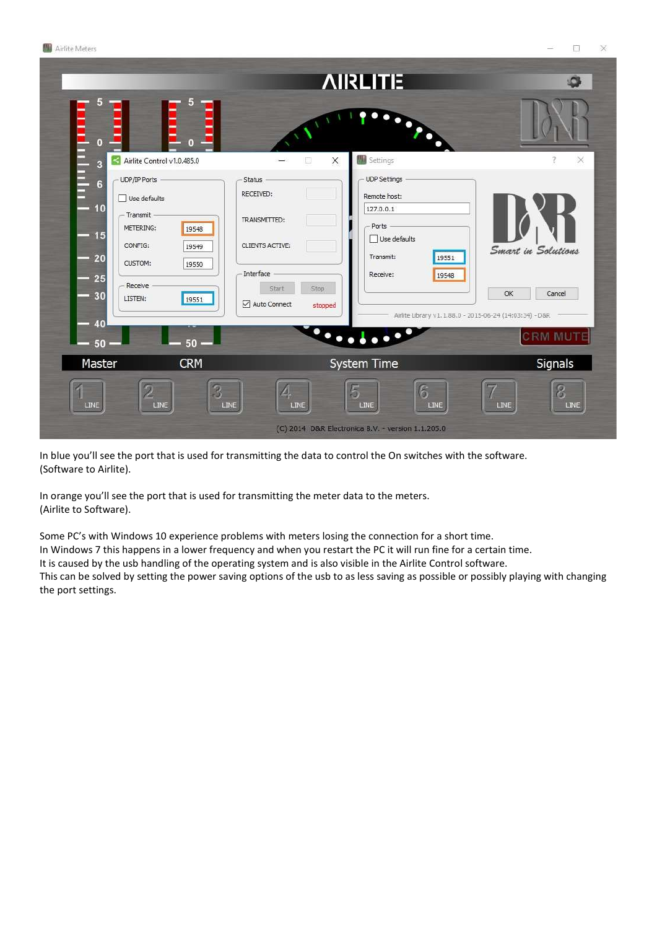

In blue you'll see the port that is used for transmitting the data to control the On switches with the software. (Software to Airlite).

In orange you'll see the port that is used for transmitting the meter data to the meters. (Airlite to Software).

Some PC's with Windows 10 experience problems with meters losing the connection for a short time. In Windows 7 this happens in a lower frequency and when you restart the PC it will run fine for a certain time. It is caused by the usb handling of the operating system and is also visible in the Airlite Control software. This can be solved by setting the power saving options of the usb to as less saving as possible or possibly playing with changing the port settings.